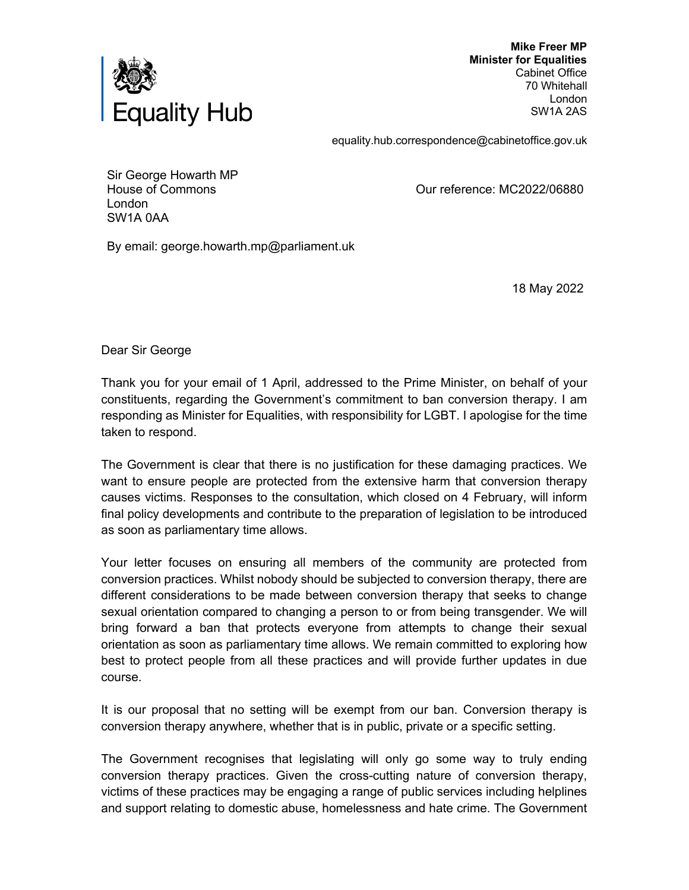

 **Mike Freer MP Minister for Equalities** Cabinet Office 70 Whitehall London SW1A 2AS

equality.hub.correspondence@cabinetoffice.gov.uk

Sir George Howarth MP House of Commons London SW1A 0AA

Our reference: MC2022/06880

By email: george.howarth.mp@parliament.uk

18 May 2022

Dear Sir George

Thank you for your email of 1 April, addressed to the Prime Minister, on behalf of your constituents, regarding the Government's commitment to ban conversion therapy. I am responding as Minister for Equalities, with responsibility for LGBT. I apologise for the time taken to respond.

The Government is clear that there is no justification for these damaging practices. We want to ensure people are protected from the extensive harm that conversion therapy causes victims. Responses to the consultation, which closed on 4 February, will inform final policy developments and contribute to the preparation of legislation to be introduced as soon as parliamentary time allows.

Your letter focuses on ensuring all members of the community are protected from conversion practices. Whilst nobody should be subjected to conversion therapy, there are different considerations to be made between conversion therapy that seeks to change sexual orientation compared to changing a person to or from being transgender. We will bring forward a ban that protects everyone from attempts to change their sexual orientation as soon as parliamentary time allows. We remain committed to exploring how best to protect people from all these practices and will provide further updates in due course.

It is our proposal that no setting will be exempt from our ban. Conversion therapy is conversion therapy anywhere, whether that is in public, private or a specific setting.

The Government recognises that legislating will only go some way to truly ending conversion therapy practices. Given the cross-cutting nature of conversion therapy, victims of these practices may be engaging a range of public services including helplines and support relating to domestic abuse, homelessness and hate crime. The Government